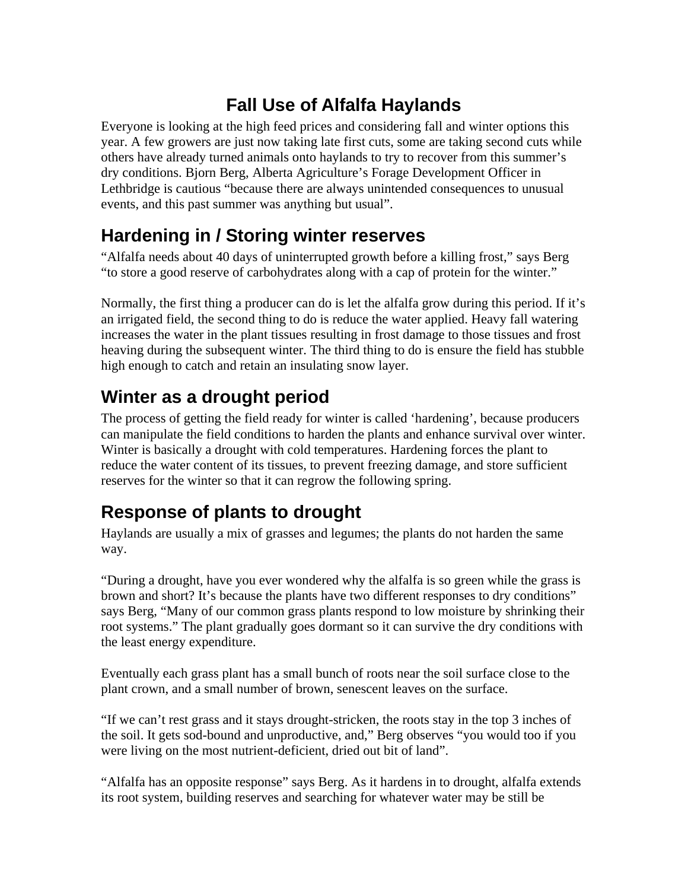### **Fall Use of Alfalfa Haylands**

Everyone is looking at the high feed prices and considering fall and winter options this year. A few growers are just now taking late first cuts, some are taking second cuts while others have already turned animals onto haylands to try to recover from this summer's dry conditions. Bjorn Berg, Alberta Agriculture's Forage Development Officer in Lethbridge is cautious "because there are always unintended consequences to unusual events, and this past summer was anything but usual".

## **Hardening in / Storing winter reserves**

"Alfalfa needs about 40 days of uninterrupted growth before a killing frost," says Berg "to store a good reserve of carbohydrates along with a cap of protein for the winter."

Normally, the first thing a producer can do is let the alfalfa grow during this period. If it's an irrigated field, the second thing to do is reduce the water applied. Heavy fall watering increases the water in the plant tissues resulting in frost damage to those tissues and frost heaving during the subsequent winter. The third thing to do is ensure the field has stubble high enough to catch and retain an insulating snow layer.

## **Winter as a drought period**

The process of getting the field ready for winter is called 'hardening', because producers can manipulate the field conditions to harden the plants and enhance survival over winter. Winter is basically a drought with cold temperatures. Hardening forces the plant to reduce the water content of its tissues, to prevent freezing damage, and store sufficient reserves for the winter so that it can regrow the following spring.

# **Response of plants to drought**

Haylands are usually a mix of grasses and legumes; the plants do not harden the same way.

"During a drought, have you ever wondered why the alfalfa is so green while the grass is brown and short? It's because the plants have two different responses to dry conditions" says Berg, "Many of our common grass plants respond to low moisture by shrinking their root systems." The plant gradually goes dormant so it can survive the dry conditions with the least energy expenditure.

Eventually each grass plant has a small bunch of roots near the soil surface close to the plant crown, and a small number of brown, senescent leaves on the surface.

"If we can't rest grass and it stays drought-stricken, the roots stay in the top 3 inches of the soil. It gets sod-bound and unproductive, and," Berg observes "you would too if you were living on the most nutrient-deficient, dried out bit of land".

"Alfalfa has an opposite response" says Berg. As it hardens in to drought, alfalfa extends its root system, building reserves and searching for whatever water may be still be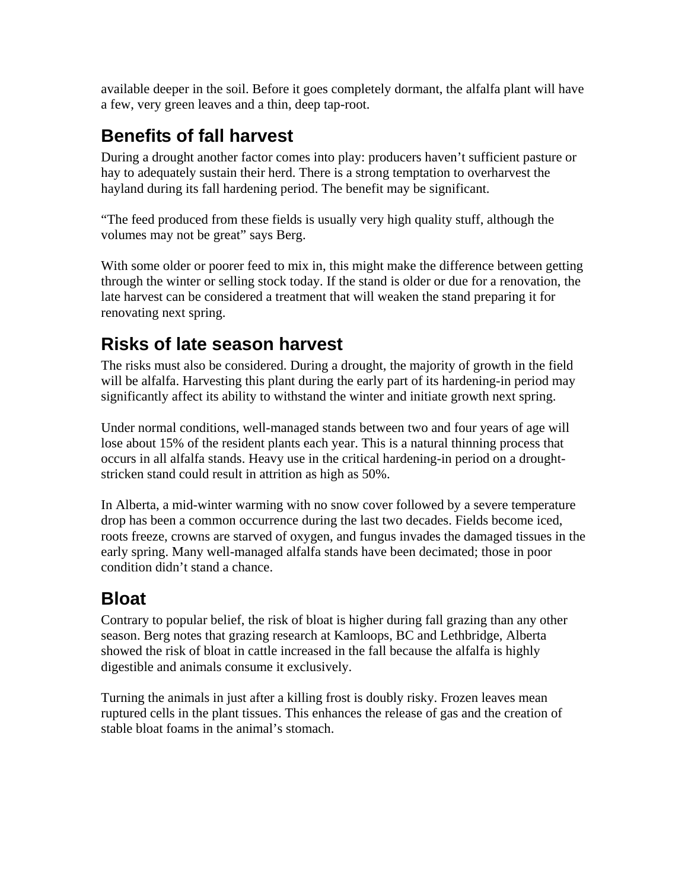available deeper in the soil. Before it goes completely dormant, the alfalfa plant will have a few, very green leaves and a thin, deep tap-root.

#### **Benefits of fall harvest**

During a drought another factor comes into play: producers haven't sufficient pasture or hay to adequately sustain their herd. There is a strong temptation to overharvest the hayland during its fall hardening period. The benefit may be significant.

"The feed produced from these fields is usually very high quality stuff, although the volumes may not be great" says Berg.

With some older or poorer feed to mix in, this might make the difference between getting through the winter or selling stock today. If the stand is older or due for a renovation, the late harvest can be considered a treatment that will weaken the stand preparing it for renovating next spring.

## **Risks of late season harvest**

The risks must also be considered. During a drought, the majority of growth in the field will be alfalfa. Harvesting this plant during the early part of its hardening-in period may significantly affect its ability to withstand the winter and initiate growth next spring.

Under normal conditions, well-managed stands between two and four years of age will lose about 15% of the resident plants each year. This is a natural thinning process that occurs in all alfalfa stands. Heavy use in the critical hardening-in period on a droughtstricken stand could result in attrition as high as 50%.

In Alberta, a mid-winter warming with no snow cover followed by a severe temperature drop has been a common occurrence during the last two decades. Fields become iced, roots freeze, crowns are starved of oxygen, and fungus invades the damaged tissues in the early spring. Many well-managed alfalfa stands have been decimated; those in poor condition didn't stand a chance.

#### **Bloat**

Contrary to popular belief, the risk of bloat is higher during fall grazing than any other season. Berg notes that grazing research at Kamloops, BC and Lethbridge, Alberta showed the risk of bloat in cattle increased in the fall because the alfalfa is highly digestible and animals consume it exclusively.

Turning the animals in just after a killing frost is doubly risky. Frozen leaves mean ruptured cells in the plant tissues. This enhances the release of gas and the creation of stable bloat foams in the animal's stomach.